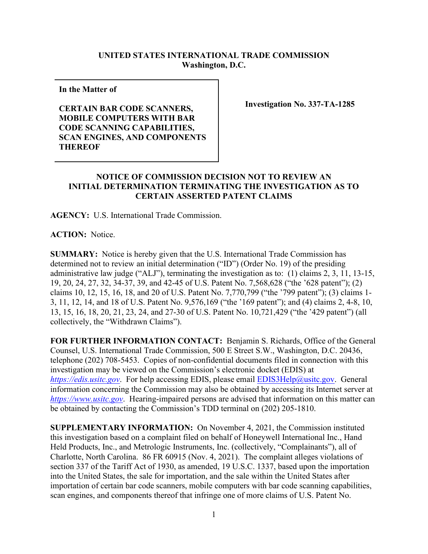## **UNITED STATES INTERNATIONAL TRADE COMMISSION Washington, D.C.**

**In the Matter of** 

**CERTAIN BAR CODE SCANNERS, MOBILE COMPUTERS WITH BAR CODE SCANNING CAPABILITIES, SCAN ENGINES, AND COMPONENTS THEREOF**

**Investigation No. 337-TA-1285**

## **NOTICE OF COMMISSION DECISION NOT TO REVIEW AN INITIAL DETERMINATION TERMINATING THE INVESTIGATION AS TO CERTAIN ASSERTED PATENT CLAIMS**

**AGENCY:** U.S. International Trade Commission.

**ACTION:** Notice.

**SUMMARY:** Notice is hereby given that the U.S. International Trade Commission has determined not to review an initial determination ("ID") (Order No. 19) of the presiding administrative law judge ("ALJ"), terminating the investigation as to: (1) claims 2, 3, 11, 13-15, 19, 20, 24, 27, 32, 34-37, 39, and 42-45 of U.S. Patent No. 7,568,628 ("the '628 patent"); (2) claims 10, 12, 15, 16, 18, and 20 of U.S. Patent No. 7,770,799 ("the '799 patent"); (3) claims 1- 3, 11, 12, 14, and 18 of U.S. Patent No. 9,576,169 ("the '169 patent"); and (4) claims 2, 4-8, 10, 13, 15, 16, 18, 20, 21, 23, 24, and 27-30 of U.S. Patent No. 10,721,429 ("the '429 patent") (all collectively, the "Withdrawn Claims").

**FOR FURTHER INFORMATION CONTACT:** Benjamin S. Richards, Office of the General Counsel, U.S. International Trade Commission, 500 E Street S.W., Washington, D.C. 20436, telephone (202) 708-5453. Copies of non-confidential documents filed in connection with this investigation may be viewed on the Commission's electronic docket (EDIS) at *[https://edis.usitc.gov](https://edis.usitc.gov/).* For help accessing EDIS, please email [EDIS3Help@usitc.gov.](mailto:EDIS3Help@usitc.gov) General information concerning the Commission may also be obtained by accessing its Internet server at *[https://www.usitc.gov](https://www.usitc.gov/)*. Hearing-impaired persons are advised that information on this matter can be obtained by contacting the Commission's TDD terminal on (202) 205-1810.

**SUPPLEMENTARY INFORMATION:** On November 4, 2021, the Commission instituted this investigation based on a complaint filed on behalf of Honeywell International Inc., Hand Held Products, Inc., and Metrologic Instruments, Inc. (collectively, "Complainants"), all of Charlotte, North Carolina. 86 FR 60915 (Nov. 4, 2021). The complaint alleges violations of section 337 of the Tariff Act of 1930, as amended, 19 U.S.C. 1337, based upon the importation into the United States, the sale for importation, and the sale within the United States after importation of certain bar code scanners, mobile computers with bar code scanning capabilities, scan engines, and components thereof that infringe one of more claims of U.S. Patent No.